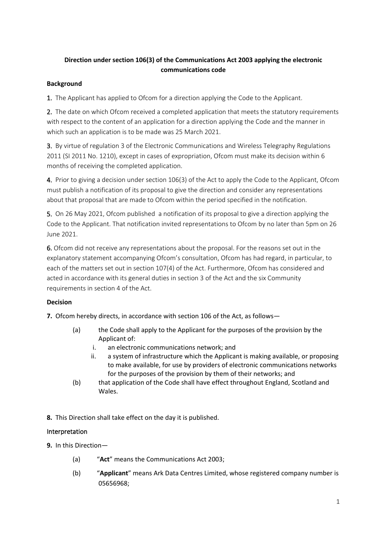## **Direction under section 106(3) of the Communications Act 2003 applying the electronic communications code**

## **Background**

1. The Applicant has applied to Ofcom for a direction applying the Code to the Applicant.

2. The date on which Ofcom received a completed application that meets the statutory requirements with respect to the content of an application for a direction applying the Code and the manner in which such an application is to be made was 25 March 2021.

3. By virtue of regulation 3 of the Electronic Communications and Wireless Telegraphy Regulations 2011 (SI 2011 No. 1210), except in cases of expropriation, Ofcom must make its decision within 6 months of receiving the completed application.

4. Prior to giving a decision under section 106(3) of the Act to apply the Code to the Applicant, Ofcom must publish a notification of its proposal to give the direction and consider any representations about that proposal that are made to Ofcom within the period specified in the notification.

5. On 26 May 2021, Ofcom published a notification of its proposal to give a direction applying the Code to the Applicant. That notification invited representations to Ofcom by no later than 5pm on 26 June 2021.

6. Ofcom did not receive any representations about the proposal. For the reasons set out in the explanatory statement accompanying Ofcom's consultation, Ofcom has had regard, in particular, to each of the matters set out in section 107(4) of the Act. Furthermore, Ofcom has considered and acted in accordance with its general duties in section 3 of the Act and the six Community requirements in section 4 of the Act.

## **Decision**

**7.** Ofcom hereby directs, in accordance with section 106 of the Act, as follows—

- (a) the Code shall apply to the Applicant for the purposes of the provision by the Applicant of:
	- i. an electronic communications network; and
	- ii. a system of infrastructure which the Applicant is making available, or proposing to make available, for use by providers of electronic communications networks for the purposes of the provision by them of their networks; and
- (b) that application of the Code shall have effect throughout England, Scotland and Wales.
- **8.** This Direction shall take effect on the day it is published.

## Interpretation

- **9.** In this Direction—
	- (a) "**Act**" means the Communications Act 2003;
	- (b) "**Applicant**" means Ark Data Centres Limited, whose registered company number is 05656968;